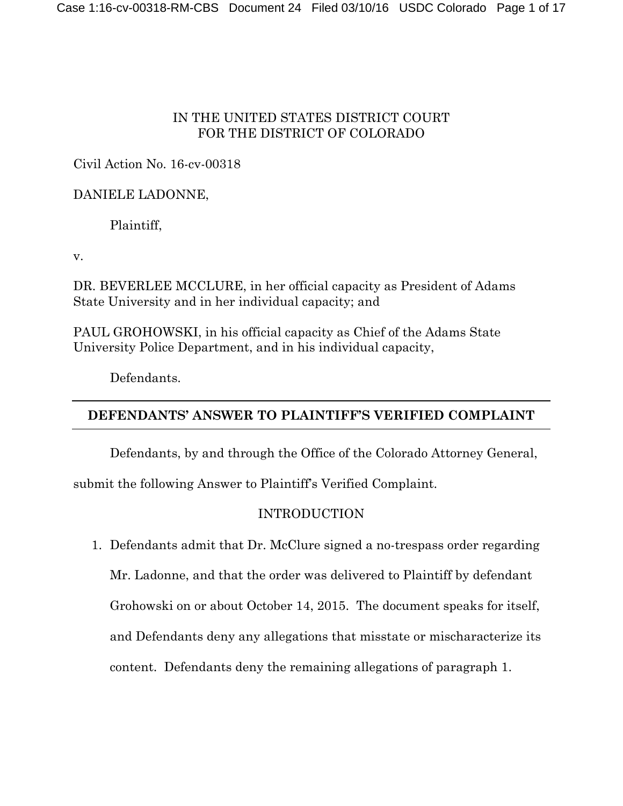## IN THE UNITED STATES DISTRICT COURT FOR THE DISTRICT OF COLORADO

# Civil Action No. 16-cv-00318

# DANIELE LADONNE,

Plaintiff,

v.

DR. BEVERLEE MCCLURE, in her official capacity as President of Adams State University and in her individual capacity; and

PAUL GROHOWSKI, in his official capacity as Chief of the Adams State University Police Department, and in his individual capacity,

Defendants.

# **DEFENDANTS' ANSWER TO PLAINTIFF'S VERIFIED COMPLAINT**

Defendants, by and through the Office of the Colorado Attorney General,

submit the following Answer to Plaintiff's Verified Complaint.

# INTRODUCTION

1. Defendants admit that Dr. McClure signed a no-trespass order regarding

Mr. Ladonne, and that the order was delivered to Plaintiff by defendant

Grohowski on or about October 14, 2015. The document speaks for itself,

and Defendants deny any allegations that misstate or mischaracterize its

content. Defendants deny the remaining allegations of paragraph 1.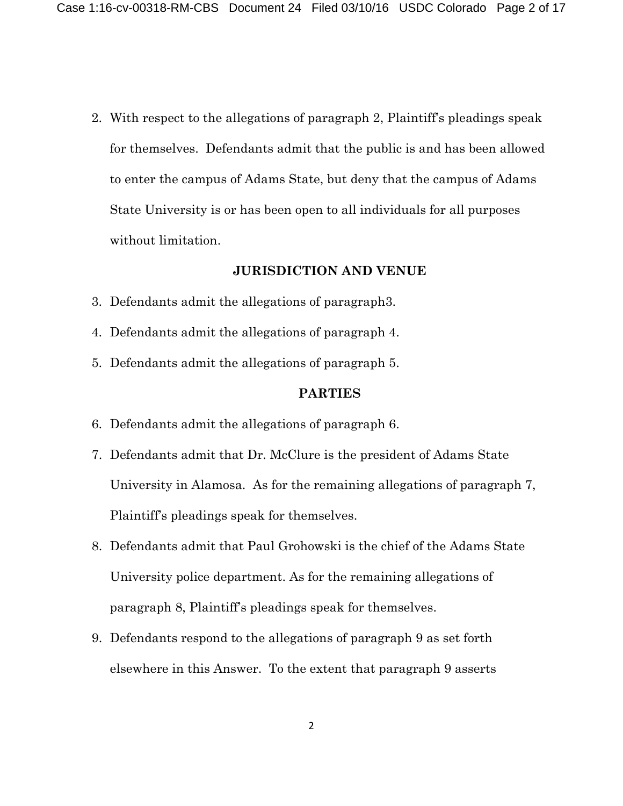2. With respect to the allegations of paragraph 2, Plaintiff's pleadings speak for themselves. Defendants admit that the public is and has been allowed to enter the campus of Adams State, but deny that the campus of Adams State University is or has been open to all individuals for all purposes without limitation.

#### **JURISDICTION AND VENUE**

- 3. Defendants admit the allegations of paragraph3.
- 4. Defendants admit the allegations of paragraph 4.
- 5. Defendants admit the allegations of paragraph 5.

#### **PARTIES**

- 6. Defendants admit the allegations of paragraph 6.
- 7. Defendants admit that Dr. McClure is the president of Adams State University in Alamosa. As for the remaining allegations of paragraph 7, Plaintiff's pleadings speak for themselves.
- 8. Defendants admit that Paul Grohowski is the chief of the Adams State University police department. As for the remaining allegations of paragraph 8, Plaintiff's pleadings speak for themselves.
- 9. Defendants respond to the allegations of paragraph 9 as set forth elsewhere in this Answer. To the extent that paragraph 9 asserts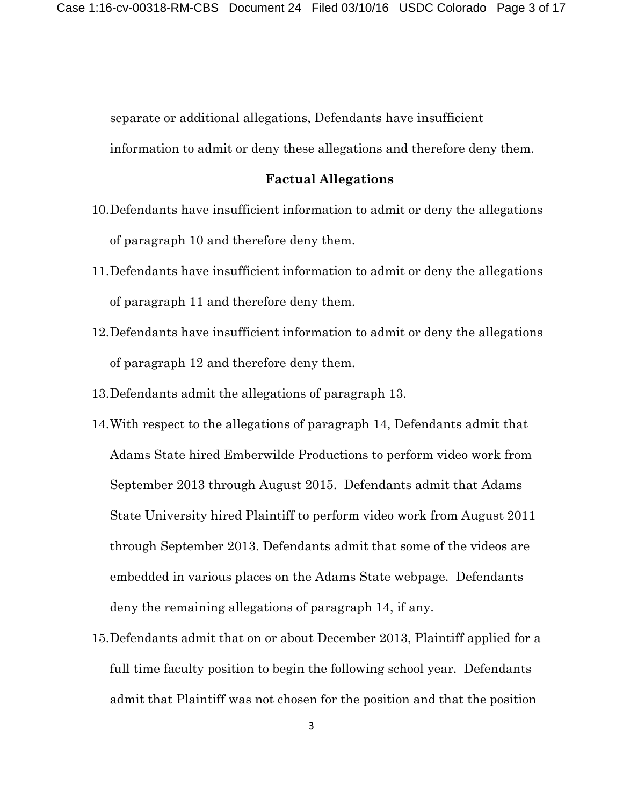separate or additional allegations, Defendants have insufficient

information to admit or deny these allegations and therefore deny them.

#### **Factual Allegations**

- 10.Defendants have insufficient information to admit or deny the allegations of paragraph 10 and therefore deny them.
- 11.Defendants have insufficient information to admit or deny the allegations of paragraph 11 and therefore deny them.
- 12.Defendants have insufficient information to admit or deny the allegations of paragraph 12 and therefore deny them.
- 13.Defendants admit the allegations of paragraph 13.
- 14.With respect to the allegations of paragraph 14, Defendants admit that Adams State hired Emberwilde Productions to perform video work from September 2013 through August 2015. Defendants admit that Adams State University hired Plaintiff to perform video work from August 2011 through September 2013. Defendants admit that some of the videos are embedded in various places on the Adams State webpage. Defendants deny the remaining allegations of paragraph 14, if any.
- 15.Defendants admit that on or about December 2013, Plaintiff applied for a full time faculty position to begin the following school year. Defendants admit that Plaintiff was not chosen for the position and that the position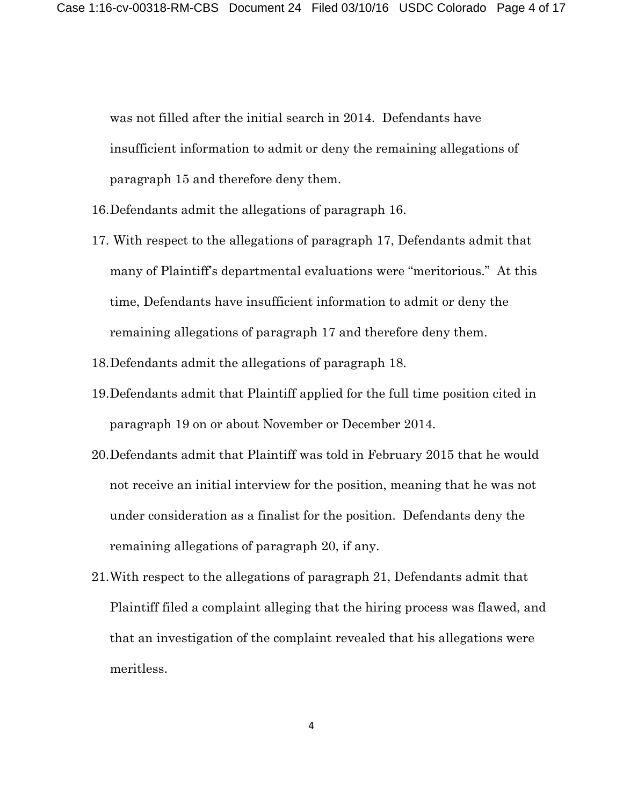was not filled after the initial search in 2014. Defendants have insufficient information to admit or deny the remaining allegations of paragraph 15 and therefore deny them.

- 16.Defendants admit the allegations of paragraph 16.
- 17. With respect to the allegations of paragraph 17, Defendants admit that many of Plaintiff's departmental evaluations were "meritorious." At this time, Defendants have insufficient information to admit or deny the remaining allegations of paragraph 17 and therefore deny them.
- 18.Defendants admit the allegations of paragraph 18.
- 19.Defendants admit that Plaintiff applied for the full time position cited in paragraph 19 on or about November or December 2014.
- 20.Defendants admit that Plaintiff was told in February 2015 that he would not receive an initial interview for the position, meaning that he was not under consideration as a finalist for the position. Defendants deny the remaining allegations of paragraph 20, if any.
- 21.With respect to the allegations of paragraph 21, Defendants admit that Plaintiff filed a complaint alleging that the hiring process was flawed, and that an investigation of the complaint revealed that his allegations were meritless.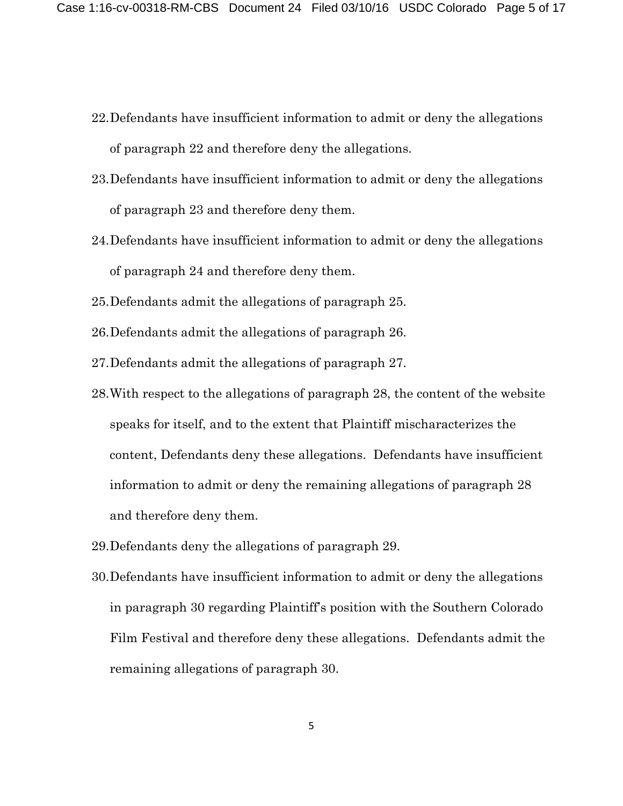- 22.Defendants have insufficient information to admit or deny the allegations of paragraph 22 and therefore deny the allegations.
- 23.Defendants have insufficient information to admit or deny the allegations of paragraph 23 and therefore deny them.
- 24.Defendants have insufficient information to admit or deny the allegations of paragraph 24 and therefore deny them.
- 25.Defendants admit the allegations of paragraph 25.
- 26.Defendants admit the allegations of paragraph 26.
- 27.Defendants admit the allegations of paragraph 27.
- 28.With respect to the allegations of paragraph 28, the content of the website speaks for itself, and to the extent that Plaintiff mischaracterizes the content, Defendants deny these allegations. Defendants have insufficient information to admit or deny the remaining allegations of paragraph 28 and therefore deny them.
- 29.Defendants deny the allegations of paragraph 29.
- 30.Defendants have insufficient information to admit or deny the allegations in paragraph 30 regarding Plaintiff's position with the Southern Colorado Film Festival and therefore deny these allegations. Defendants admit the remaining allegations of paragraph 30.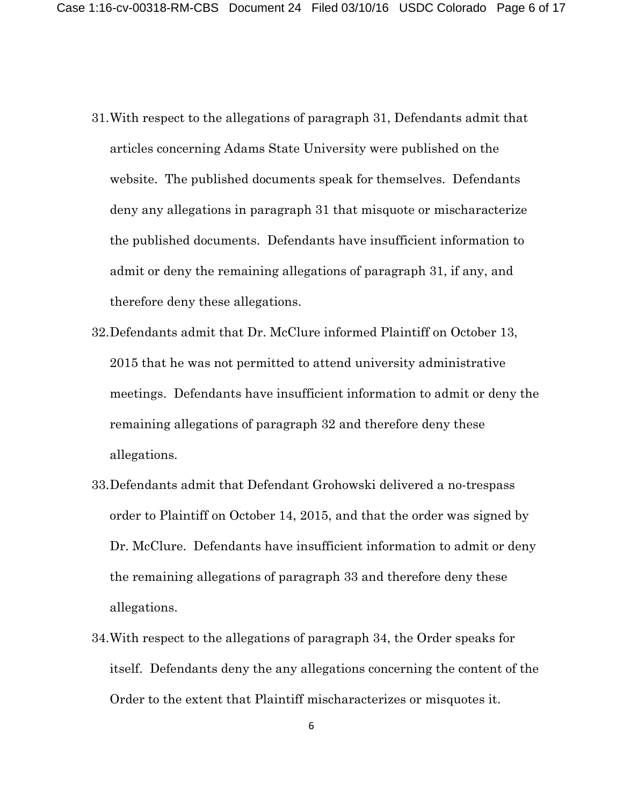- 31.With respect to the allegations of paragraph 31, Defendants admit that articles concerning Adams State University were published on the website. The published documents speak for themselves. Defendants deny any allegations in paragraph 31 that misquote or mischaracterize the published documents. Defendants have insufficient information to admit or deny the remaining allegations of paragraph 31, if any, and therefore deny these allegations.
- 32.Defendants admit that Dr. McClure informed Plaintiff on October 13, 2015 that he was not permitted to attend university administrative meetings. Defendants have insufficient information to admit or deny the remaining allegations of paragraph 32 and therefore deny these allegations.
- 33.Defendants admit that Defendant Grohowski delivered a no-trespass order to Plaintiff on October 14, 2015, and that the order was signed by Dr. McClure. Defendants have insufficient information to admit or deny the remaining allegations of paragraph 33 and therefore deny these allegations.
- 34.With respect to the allegations of paragraph 34, the Order speaks for itself. Defendants deny the any allegations concerning the content of the Order to the extent that Plaintiff mischaracterizes or misquotes it.

6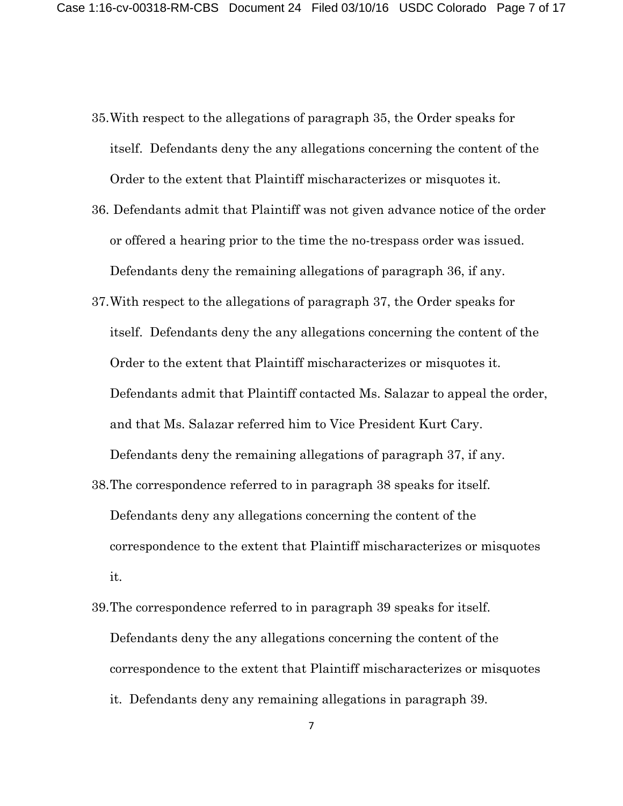- 35.With respect to the allegations of paragraph 35, the Order speaks for itself. Defendants deny the any allegations concerning the content of the Order to the extent that Plaintiff mischaracterizes or misquotes it.
- 36. Defendants admit that Plaintiff was not given advance notice of the order or offered a hearing prior to the time the no-trespass order was issued. Defendants deny the remaining allegations of paragraph 36, if any.
- 37.With respect to the allegations of paragraph 37, the Order speaks for itself. Defendants deny the any allegations concerning the content of the Order to the extent that Plaintiff mischaracterizes or misquotes it. Defendants admit that Plaintiff contacted Ms. Salazar to appeal the order, and that Ms. Salazar referred him to Vice President Kurt Cary.

Defendants deny the remaining allegations of paragraph 37, if any.

38.The correspondence referred to in paragraph 38 speaks for itself.

Defendants deny any allegations concerning the content of the correspondence to the extent that Plaintiff mischaracterizes or misquotes it.

39.The correspondence referred to in paragraph 39 speaks for itself. Defendants deny the any allegations concerning the content of the correspondence to the extent that Plaintiff mischaracterizes or misquotes it. Defendants deny any remaining allegations in paragraph 39.

7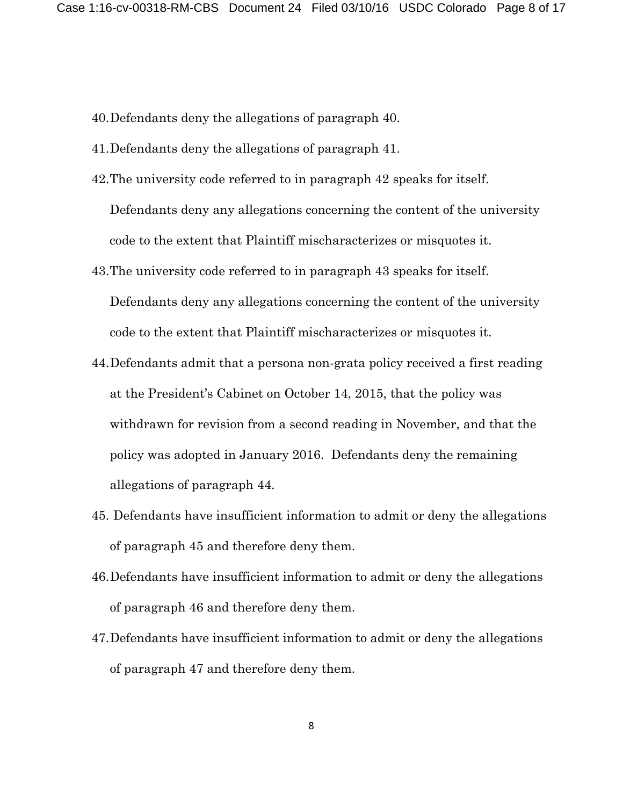- 40.Defendants deny the allegations of paragraph 40.
- 41.Defendants deny the allegations of paragraph 41.
- 42.The university code referred to in paragraph 42 speaks for itself. Defendants deny any allegations concerning the content of the university code to the extent that Plaintiff mischaracterizes or misquotes it.
- 43.The university code referred to in paragraph 43 speaks for itself. Defendants deny any allegations concerning the content of the university code to the extent that Plaintiff mischaracterizes or misquotes it.
- 44.Defendants admit that a persona non-grata policy received a first reading at the President's Cabinet on October 14, 2015, that the policy was withdrawn for revision from a second reading in November, and that the policy was adopted in January 2016. Defendants deny the remaining allegations of paragraph 44.
- 45. Defendants have insufficient information to admit or deny the allegations of paragraph 45 and therefore deny them.
- 46.Defendants have insufficient information to admit or deny the allegations of paragraph 46 and therefore deny them.
- 47.Defendants have insufficient information to admit or deny the allegations of paragraph 47 and therefore deny them.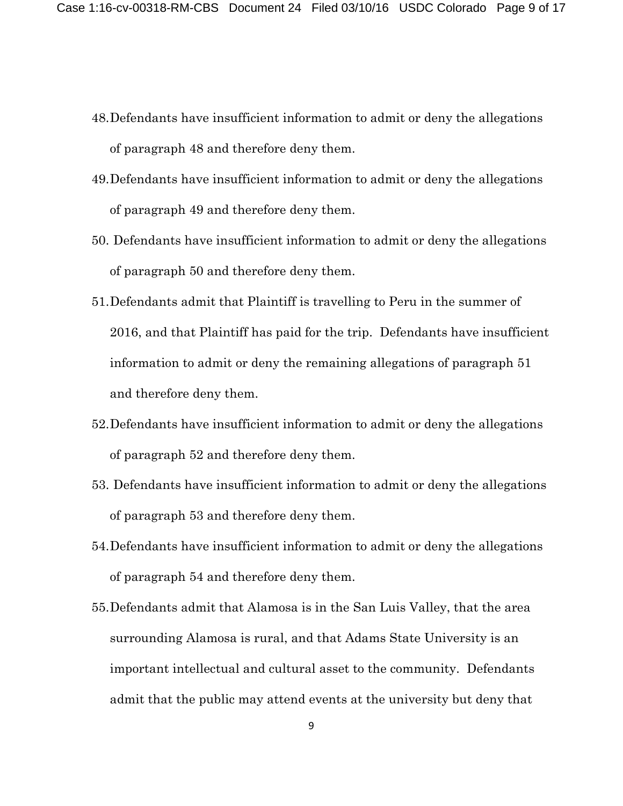- 48.Defendants have insufficient information to admit or deny the allegations of paragraph 48 and therefore deny them.
- 49.Defendants have insufficient information to admit or deny the allegations of paragraph 49 and therefore deny them.
- 50. Defendants have insufficient information to admit or deny the allegations of paragraph 50 and therefore deny them.
- 51.Defendants admit that Plaintiff is travelling to Peru in the summer of 2016, and that Plaintiff has paid for the trip. Defendants have insufficient information to admit or deny the remaining allegations of paragraph 51 and therefore deny them.
- 52.Defendants have insufficient information to admit or deny the allegations of paragraph 52 and therefore deny them.
- 53. Defendants have insufficient information to admit or deny the allegations of paragraph 53 and therefore deny them.
- 54.Defendants have insufficient information to admit or deny the allegations of paragraph 54 and therefore deny them.
- 55.Defendants admit that Alamosa is in the San Luis Valley, that the area surrounding Alamosa is rural, and that Adams State University is an important intellectual and cultural asset to the community. Defendants admit that the public may attend events at the university but deny that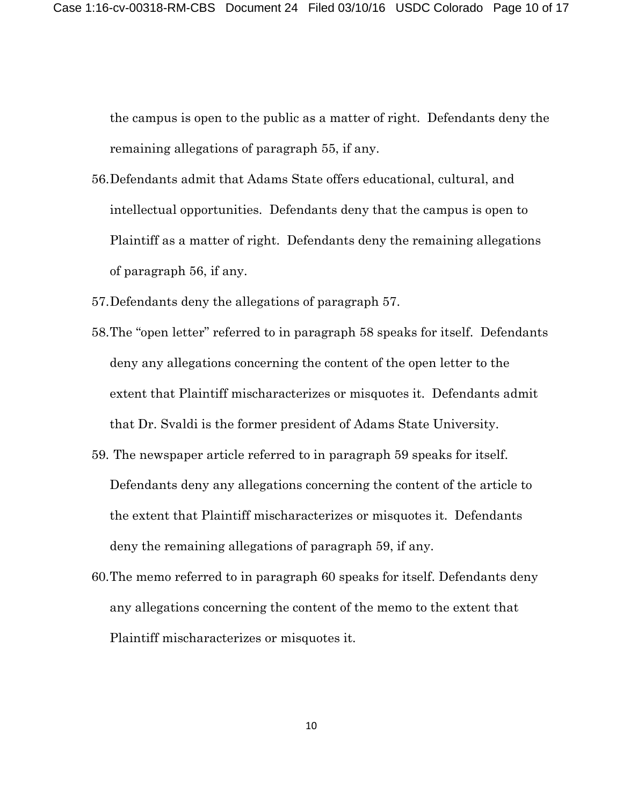the campus is open to the public as a matter of right. Defendants deny the remaining allegations of paragraph 55, if any.

- 56.Defendants admit that Adams State offers educational, cultural, and intellectual opportunities. Defendants deny that the campus is open to Plaintiff as a matter of right. Defendants deny the remaining allegations of paragraph 56, if any.
- 57.Defendants deny the allegations of paragraph 57.
- 58.The "open letter" referred to in paragraph 58 speaks for itself. Defendants deny any allegations concerning the content of the open letter to the extent that Plaintiff mischaracterizes or misquotes it. Defendants admit that Dr. Svaldi is the former president of Adams State University.
- 59. The newspaper article referred to in paragraph 59 speaks for itself. Defendants deny any allegations concerning the content of the article to the extent that Plaintiff mischaracterizes or misquotes it. Defendants deny the remaining allegations of paragraph 59, if any.
- 60.The memo referred to in paragraph 60 speaks for itself. Defendants deny any allegations concerning the content of the memo to the extent that Plaintiff mischaracterizes or misquotes it.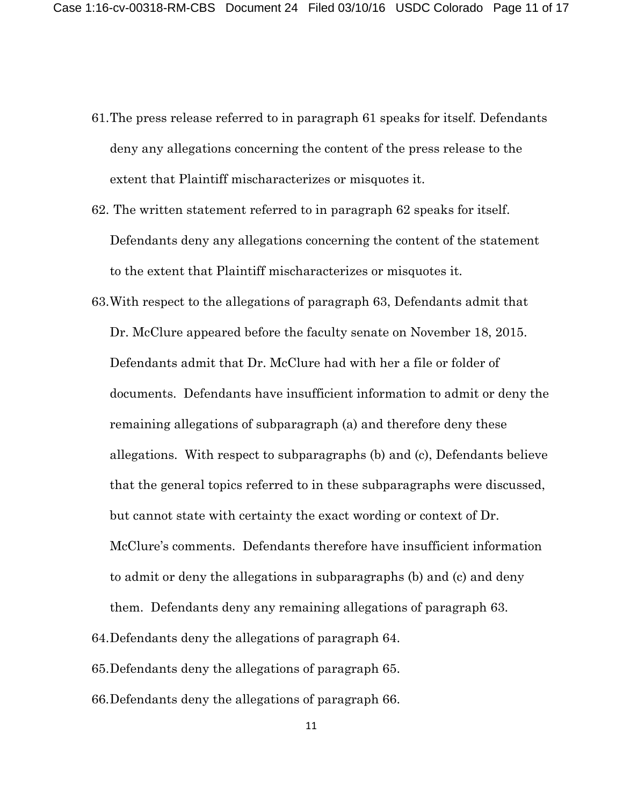- 61.The press release referred to in paragraph 61 speaks for itself. Defendants deny any allegations concerning the content of the press release to the extent that Plaintiff mischaracterizes or misquotes it.
- 62. The written statement referred to in paragraph 62 speaks for itself. Defendants deny any allegations concerning the content of the statement to the extent that Plaintiff mischaracterizes or misquotes it.
- 63.With respect to the allegations of paragraph 63, Defendants admit that Dr. McClure appeared before the faculty senate on November 18, 2015. Defendants admit that Dr. McClure had with her a file or folder of documents. Defendants have insufficient information to admit or deny the remaining allegations of subparagraph (a) and therefore deny these allegations. With respect to subparagraphs (b) and (c), Defendants believe that the general topics referred to in these subparagraphs were discussed, but cannot state with certainty the exact wording or context of Dr. McClure's comments. Defendants therefore have insufficient information to admit or deny the allegations in subparagraphs (b) and (c) and deny them. Defendants deny any remaining allegations of paragraph 63.
- 64.Defendants deny the allegations of paragraph 64.
- 65.Defendants deny the allegations of paragraph 65.
- 66.Defendants deny the allegations of paragraph 66.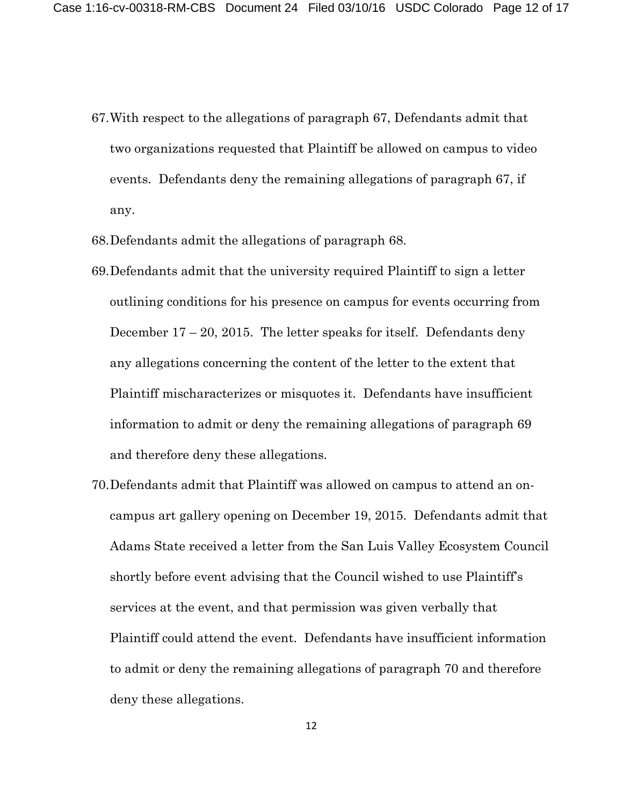- 67.With respect to the allegations of paragraph 67, Defendants admit that two organizations requested that Plaintiff be allowed on campus to video events. Defendants deny the remaining allegations of paragraph 67, if any.
- 68.Defendants admit the allegations of paragraph 68.
- 69.Defendants admit that the university required Plaintiff to sign a letter outlining conditions for his presence on campus for events occurring from December  $17 - 20$ , 2015. The letter speaks for itself. Defendants deny any allegations concerning the content of the letter to the extent that Plaintiff mischaracterizes or misquotes it. Defendants have insufficient information to admit or deny the remaining allegations of paragraph 69 and therefore deny these allegations.
- 70.Defendants admit that Plaintiff was allowed on campus to attend an oncampus art gallery opening on December 19, 2015. Defendants admit that Adams State received a letter from the San Luis Valley Ecosystem Council shortly before event advising that the Council wished to use Plaintiff's services at the event, and that permission was given verbally that Plaintiff could attend the event. Defendants have insufficient information to admit or deny the remaining allegations of paragraph 70 and therefore deny these allegations.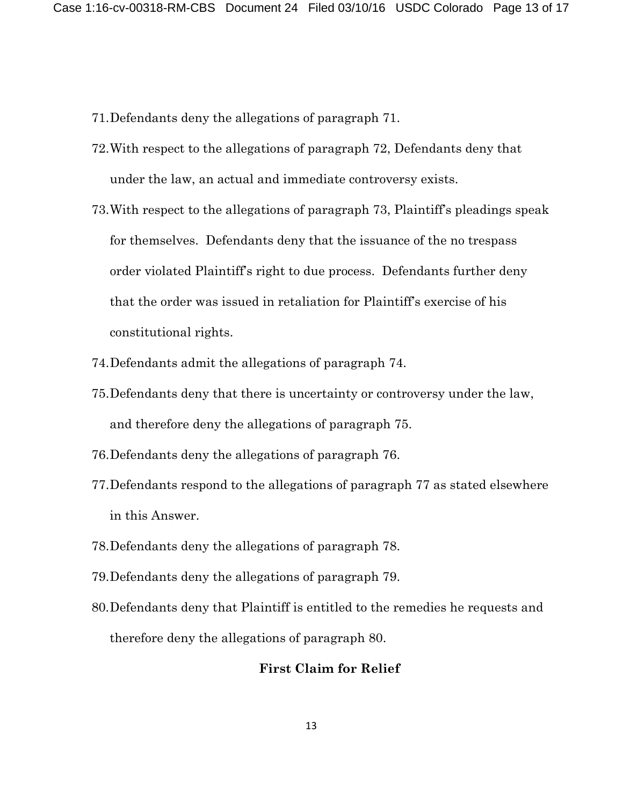- 71.Defendants deny the allegations of paragraph 71.
- 72.With respect to the allegations of paragraph 72, Defendants deny that under the law, an actual and immediate controversy exists.
- 73.With respect to the allegations of paragraph 73, Plaintiff's pleadings speak for themselves. Defendants deny that the issuance of the no trespass order violated Plaintiff's right to due process. Defendants further deny that the order was issued in retaliation for Plaintiff's exercise of his constitutional rights.
- 74.Defendants admit the allegations of paragraph 74.
- 75.Defendants deny that there is uncertainty or controversy under the law, and therefore deny the allegations of paragraph 75.
- 76.Defendants deny the allegations of paragraph 76.
- 77.Defendants respond to the allegations of paragraph 77 as stated elsewhere in this Answer.
- 78.Defendants deny the allegations of paragraph 78.
- 79.Defendants deny the allegations of paragraph 79.
- 80.Defendants deny that Plaintiff is entitled to the remedies he requests and therefore deny the allegations of paragraph 80.

### **First Claim for Relief**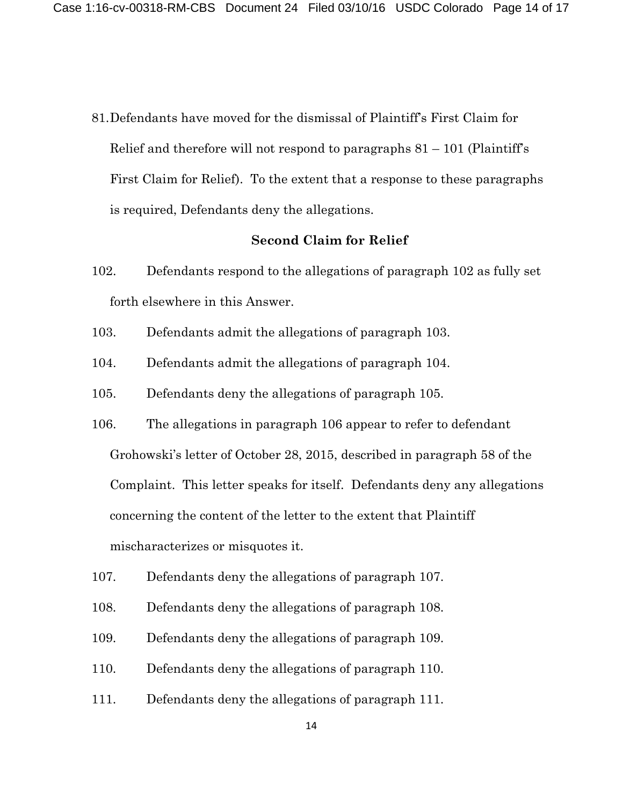81.Defendants have moved for the dismissal of Plaintiff's First Claim for Relief and therefore will not respond to paragraphs  $81 - 101$  (Plaintiff's First Claim for Relief). To the extent that a response to these paragraphs is required, Defendants deny the allegations.

### **Second Claim for Relief**

- 102. Defendants respond to the allegations of paragraph 102 as fully set forth elsewhere in this Answer.
- 103. Defendants admit the allegations of paragraph 103.
- 104. Defendants admit the allegations of paragraph 104.
- 105. Defendants deny the allegations of paragraph 105.
- 106. The allegations in paragraph 106 appear to refer to defendant

Grohowski's letter of October 28, 2015, described in paragraph 58 of the

Complaint. This letter speaks for itself. Defendants deny any allegations

concerning the content of the letter to the extent that Plaintiff

mischaracterizes or misquotes it.

- 107. Defendants deny the allegations of paragraph 107.
- 108. Defendants deny the allegations of paragraph 108.
- 109. Defendants deny the allegations of paragraph 109.
- 110. Defendants deny the allegations of paragraph 110.
- 111. Defendants deny the allegations of paragraph 111.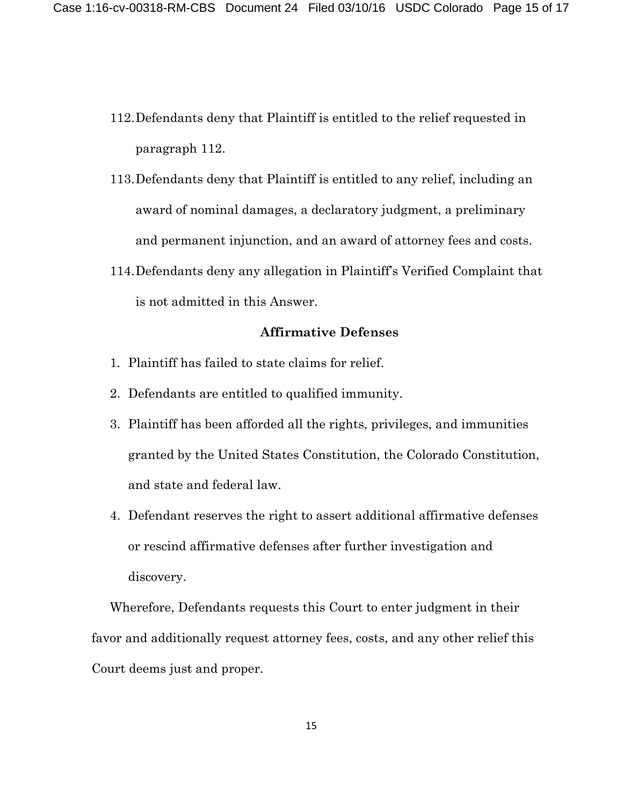- 112.Defendants deny that Plaintiff is entitled to the relief requested in paragraph 112.
- 113.Defendants deny that Plaintiff is entitled to any relief, including an award of nominal damages, a declaratory judgment, a preliminary and permanent injunction, and an award of attorney fees and costs.
- 114.Defendants deny any allegation in Plaintiff's Verified Complaint that is not admitted in this Answer.

## **Affirmative Defenses**

- 1. Plaintiff has failed to state claims for relief.
- 2. Defendants are entitled to qualified immunity.
- 3. Plaintiff has been afforded all the rights, privileges, and immunities granted by the United States Constitution, the Colorado Constitution, and state and federal law.
- 4. Defendant reserves the right to assert additional affirmative defenses or rescind affirmative defenses after further investigation and discovery.

Wherefore, Defendants requests this Court to enter judgment in their favor and additionally request attorney fees, costs, and any other relief this Court deems just and proper.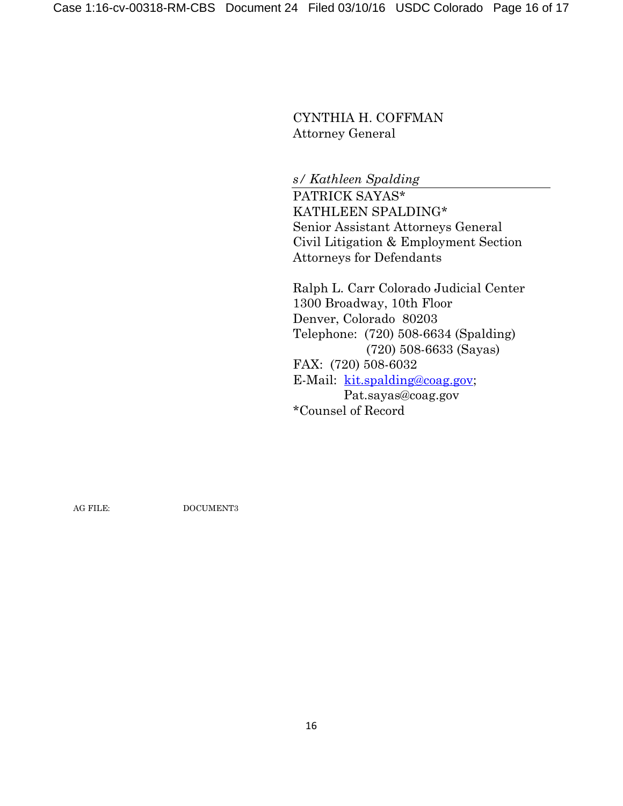CYNTHIA H. COFFMAN Attorney General

*s/ Kathleen Spalding*

PATRICK SAYAS\* KATHLEEN SPALDING\* Senior Assistant Attorneys General Civil Litigation & Employment Section Attorneys for Defendants

Ralph L. Carr Colorado Judicial Center 1300 Broadway, 10th Floor Denver, Colorado 80203 Telephone: (720) 508-6634 (Spalding) (720) 508-6633 (Sayas) FAX: (720) 508-6032 E-Mail: [kit.spalding@coag.gov;](mailto:kit.spalding@coag.gov) Pat.sayas@coag.gov \*Counsel of Record

AG FILE: DOCUMENT3